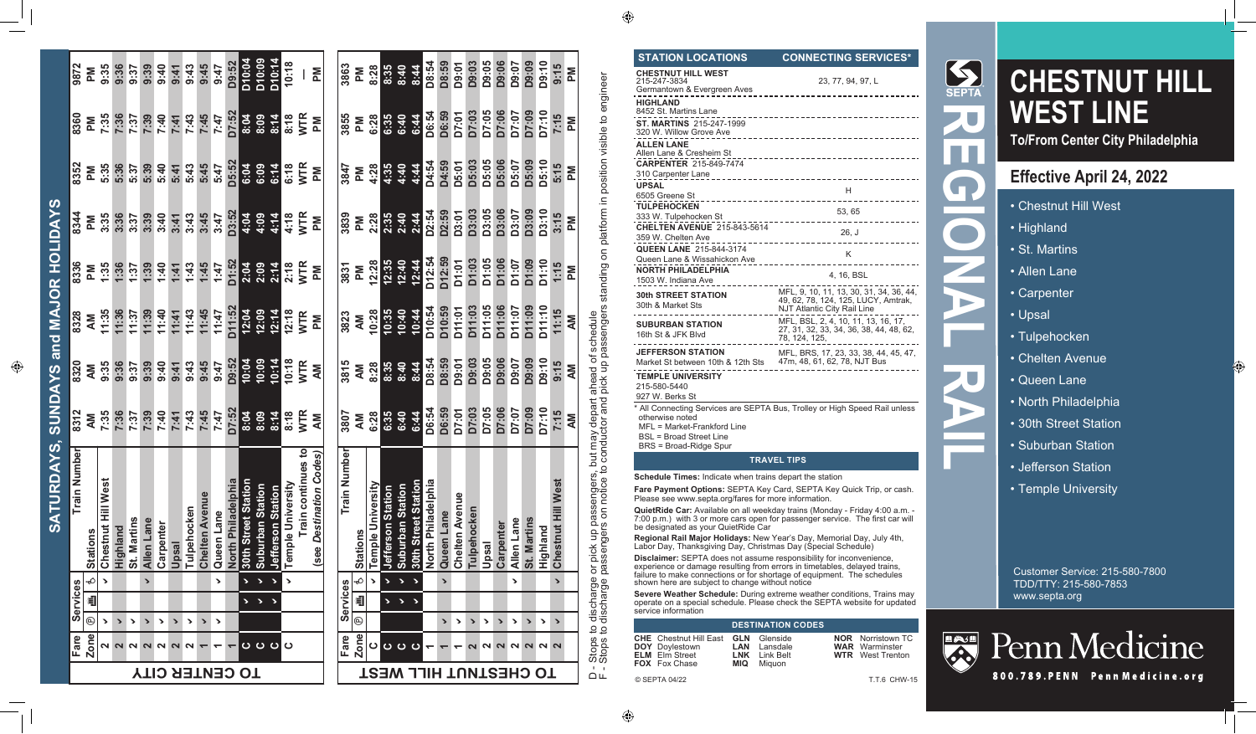### **STATION LOCATIONS CONNECTING SERVICES\***

| <b>CHESTNUT HILL WEST</b><br>215-247-3834                     | 23, 77, 94, 97, L                                                                                                    |
|---------------------------------------------------------------|----------------------------------------------------------------------------------------------------------------------|
| Germantown & Evergreen Aves                                   |                                                                                                                      |
| <b>HIGHLAND</b><br>8452 St. Martins Lane                      | ---------------------------                                                                                          |
| ST. MARTINS 215-247-1999<br>320 W. Willow Grove Ave           | _________________________________                                                                                    |
| <b>ALLEN LANE</b><br>Allen Lane & Cresheim St                 | __________________________________                                                                                   |
| <b>CARPENTER 215-849-7474</b>                                 |                                                                                                                      |
| 310 Carpenter Lane<br><b>UPSAL</b>                            | ---------------------------------                                                                                    |
| 6505 Greene St                                                | H                                                                                                                    |
| <b>TULPEHOCKEN</b>                                            | 53, 65                                                                                                               |
| 333 W. Tulpehocken St<br><b>CHELTEN AVENUE 215-843-5614</b>   |                                                                                                                      |
| 359 W. Chelten Ave                                            | 26, J                                                                                                                |
| <b>QUEEN LANE 215-844-3174</b>                                | K                                                                                                                    |
| Queen Lane & Wissahickon Ave<br><b>NORTH PHILADELPHIA</b>     |                                                                                                                      |
| 1503 W. Indiana Ave                                           | 4, 16, BSL                                                                                                           |
| <b>30th STREET STATION</b><br>30th & Market Sts               | MFL, 9, 10, 11, 13, 30, 31, 34, 36, 44,<br>49, 62, 78, 124, 125, LUCY, Amtrak,<br><b>NJT Atlantic City Rail Line</b> |
| <b>SUBURBAN STATION</b><br>16th St & JFK Blvd                 | MFL, BSL, 2, 4, 10, 11, 13, 16, 17,<br>27, 31, 32, 33, 34, 36, 38, 44, 48, 62,<br>78, 124, 125,                      |
| <b>JEFFERSON STATION</b><br>Market St between 10th & 12th Sts | MFL, BRS, 17, 23, 33, 38, 44, 45, 47,<br>47m, 48, 61, 62, 78, NJT Bus                                                |
| <b>TEMPLE UNIVERSITY</b><br>215-580-5440<br>$027 M$ Rorko St  |                                                                                                                      |

927 W. Berks St

\* All Connecting Services are SEPTA Bus, Trolley or High Speed Rail unless otherwise noted

MFL = Market-Frankford Line

BSL = Broad Street Line

BRS = Broad-Ridge Spur

#### **TRAVEL TIPS**

**Schedule Times:** Indicate when trains depart the station

**Fare Payment Options:** SEPTA Key Card, SEPTA Key Quick Trip, or cash. Please see www.septa.org/fares for more information.

**QuietRide Car:** Available on all weekday trains (Monday - Friday 4:00 a.m. - 7:00 p.m.) with 3 or more cars open for passenger service. The first car will be designated as your QuietRide Car

**Regional Rail Major Holidays:** New Year's Day, Memorial Day, July 4th,<br>Labor Day, Thanksgiving Day, Christmas Day (Special Schedule)

**Disclaimer:** SEPTA does not assume responsibility for inconvenience, experience or damage resulting from errors in timetables, delayed trains, failure to make connections or for shortage of equipment. The schedules shown here are subject to change without notice

**Severe Weather Schedule:** During extreme weather conditions, Trains may operate on a special schedule. Please check the SEPTA website for updated service information

### **DESTINATION CODES**

- **CHE DOY** Doylestown **ELM** Elm Street **FOX** Fox Chase Chestnut Hill East **GLN LAN LNK MIQ**
- Glenside Lansdale Link Belt Miquon

| NOR.       | Norristown TC |
|------------|---------------|
| <b>WAR</b> | Warminster    |
| <b>WTR</b> | West Trenton  |



# **CHESTNUT HILL WEST LINE**

**To/From Center City Philadelphia**

## **Effective April 24, 2022**

- Chestnut Hill West
- Highland
- St. Martins
- Allen Lane
- Carpenter
- Upsal
- Tulpehocken
- Chelten Avenue
- Queen Lane
- North Philadelphia
- 30th Street Station
- Suburban Station
- Jefferson Station
- Temple University

Customer Service: 215-580-7800 TDD/TTY: 215-580-7853 www.septa.org



Penn Medicine

800.789. PENN Penn Medicine.org

© SEPTA 04/22 T.T.6 CHW-15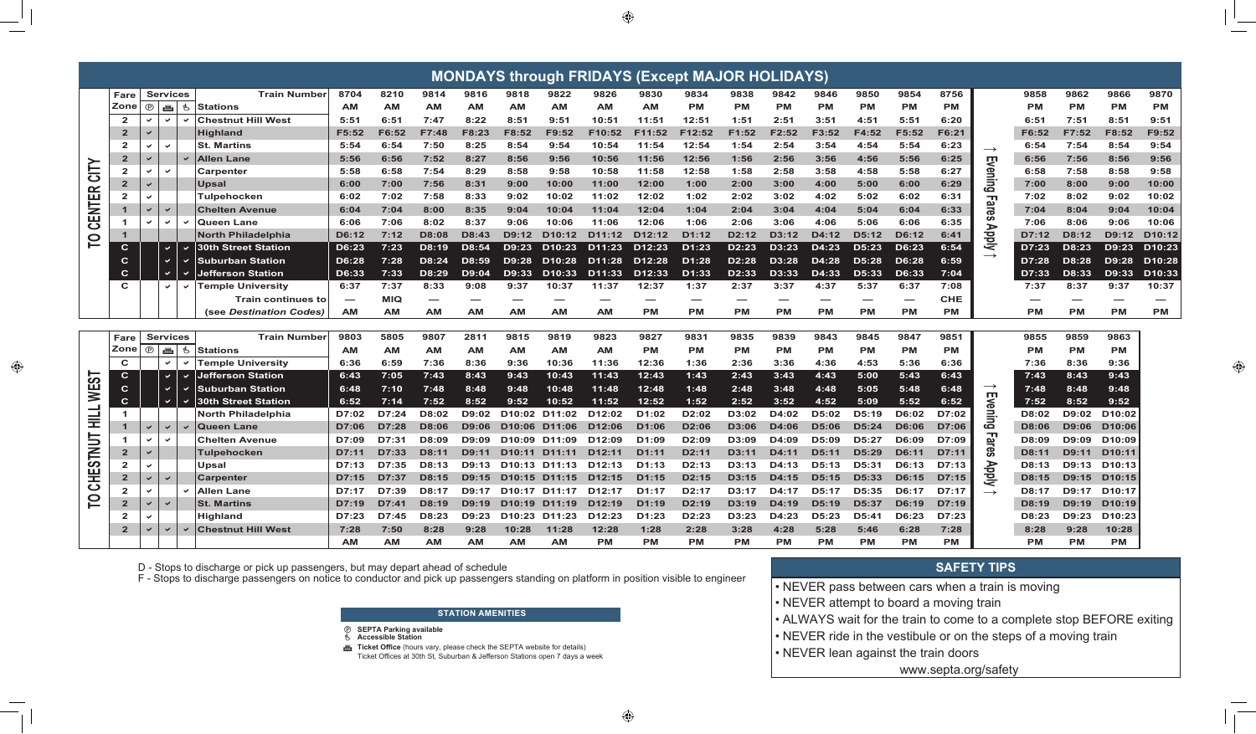| <b>MONDAYS through FRIDAYS (Except MAJOR HOLIDAYS)</b><br><b>Services</b> |                |                |                            |                          |                            |           |           |              |              |                     |                                         |                    |                    |                    |                    |           |                    |           |              |            |                   |              |              |                     |                    |
|---------------------------------------------------------------------------|----------------|----------------|----------------------------|--------------------------|----------------------------|-----------|-----------|--------------|--------------|---------------------|-----------------------------------------|--------------------|--------------------|--------------------|--------------------|-----------|--------------------|-----------|--------------|------------|-------------------|--------------|--------------|---------------------|--------------------|
|                                                                           | Fare           |                |                            |                          | <b>Train Number</b>        | 8704      | 8210      | 9814         | 9816         | 9818                | 9822                                    | 9826               | 9830               | 9834               | 9838               | 9842      | 9846               | 9850      | 9854         | 8756       |                   | 9858         | 9862         | 9866                | 9870               |
|                                                                           | Zone           | $\circledcirc$ | 画                          | Ġ.                       | <b>Stations</b>            | <b>AM</b> | <b>AM</b> | <b>AM</b>    | AМ           | <b>AM</b>           | AМ                                      | AM                 | <b>AM</b>          | <b>PM</b>          | <b>PM</b>          | РM        | <b>PM</b>          | <b>PM</b> | <b>PM</b>    | <b>PM</b>  |                   | РM           | <b>PM</b>    | <b>PM</b>           | <b>PM</b>          |
|                                                                           | $\overline{2}$ |                | $\checkmark$               | $\overline{\phantom{0}}$ | <b>Chestnut Hill West</b>  | 5:51      | 6:51      | 7:47         | 8:22         | 8:51                | 9:51                                    | 10:51              | 11:51              | 12:51              | 1:51               | 2:51      | 3:51               | 4:51      | 5:51         | 6:20       |                   | 6:51         | 7:51         | 8:51                | 9:51               |
|                                                                           | $\mathbf{2}$   |                |                            |                          | Hiahland                   | F5:52     | F6:52     | F7:48        | F8:23        | F8:52               | F9:52                                   | F10:52             | F11:52             | F12:52             | F1:52              | F2:52     | F3:52              | F4:52     | F5:52        | F6:21      |                   | F6:52        | F7:52        | F8:52               | F9:52              |
|                                                                           | $\mathbf{2}$   |                | $\checkmark$               |                          | <b>St. Martins</b>         | 5:54      | 6:54      | 7:50         | 8:25         | 8:54                | 9:54                                    | 10:54              | 11:54              | 12:54              | 1:54               | 2:54      | 3:54               | 4:54      | 5:54         | 6:23       | $\longrightarrow$ | 6:54         | 7:54         | 8:54                | 9:54               |
|                                                                           | $\overline{2}$ |                |                            |                          | <b>Allen Lane</b>          | 5:56      | 6:56      | 7:52         | 8:27         | 8:56                | 9:56                                    | 10:56              | 11:56              | 12:56              | 1:56               | 2:56      | 3:56               | 4:56      | 5:56         | 6:25       |                   | 6:56         | 7:56         | 8:56                | 9:56               |
| CITY                                                                      | $\mathbf{2}$   |                | $\checkmark$               |                          | Carpenter                  | 5:58      | 6:58      | 7:54         | 8:29         | 8:58                | 9:58                                    | 10:58              | 11:58              | 12:58              | 1:58               | 2:58      | 3:58               | 4:58      | 5:58         | 6:27       |                   | 6:58         | 7:58         | 8:58                | 9:58               |
|                                                                           | $\overline{2}$ |                |                            |                          | Upsal                      | 6:00      | 7:00      | 7:56         | 8:31         | 9:00                | 10:00                                   | 11:00              | 12:00              | 1:00               | 2:00               | 3:00      | 4:00               | 5:00      | 6:00         | 6:29       | Evening           | 7:00         | 8:00         | 9:00                | 10:00              |
| <b>CENTER</b>                                                             | $\overline{2}$ |                |                            |                          | Tulpehocken                | 6:02      | 7:02      | 7:58         | 8:33         | 9:02                | 10:02                                   | 11:02              | 12:02              | 1:02               | 2:02               | 3:02      | 4:02               | 5:02      | 6:02         | 6:31       |                   | 7:02         | 8:02         | 9:02                | 10:02              |
|                                                                           | $\mathbf 1$    | $\checkmark$   | $\checkmark$               |                          | <b>Chelten Avenue</b>      | 6:04      | 7:04      | 8:00         | 8:35         | 9:04                | 10:04                                   | 11:04              | 12:04              | 1:04               | 2:04               | 3:04      | 4:04               | 5:04      | 6:04         | 6:33       | <b>Fares</b>      | 7:04         | 8:04         | 9:04                | 10:04              |
|                                                                           |                | ◡              | $\checkmark$               |                          | <b>Queen Lane</b>          | 6:06      | 7:06      | 8:02         | 8:37         | 9:06                | 10:06                                   | 11:06              | 12:06              | 1:06               | 2:06               | 3:06      | 4:06               | 5:06      | 6:06         | 6:35       |                   | 7:06         | 8:06         | 9:06                | 10:06              |
|                                                                           |                |                |                            |                          | <b>North Philadelphia</b>  | D6:12     | 7:12      | D8:08        | D8:43        | D9:12               | D <sub>10:12</sub>                      | D11:12             | D <sub>12:12</sub> | D1:12              | D2:12              | D3:12     | D4:12              | D5:12     | D6:12        | 6:41       | <b>AldqA</b>      | D7:12        | D8:12        | D9:12               | D10:12             |
| p                                                                         | $\mathbf{C}$   |                | $\vee$                     | $\checkmark$             | <b>30th Street Station</b> | D6:23     | 7:23      | D8:19        | D8:54        | D9:23               | D10:23                                  | D11:23             | D <sub>12:23</sub> | D1:23              | D2:23              | D3:23     | D4:23              | D5:23     | D6:23        | 6:54       |                   | D7:23        | D8:23        | D9:23               | D10:23             |
|                                                                           | $\mathbf C$    |                | $\checkmark$               |                          | Suburban Station           | D6:28     | 7:28      | D8:24        | D8:59        | D9:28               | D <sub>10:28</sub>                      | D11:28             | D <sub>12:28</sub> | D1:28              | D2:28              | D3:28     | D4:28              | D5:28     | D6:28        | 6:59       | $\rightarrow$     | D7:28        | D8:28        | D9:28               | D <sub>10:28</sub> |
|                                                                           | $\mathbf C$    | $\checkmark$   |                            |                          | lefferson Station          | D6:33     | 7:33      | D8:29        | D9:04        | D9:33               | D <sub>10:33</sub>                      | D11:33             | D <sub>12:33</sub> | D1:33              | D <sub>2</sub> :33 | D3:33     | D4:33              | D5:33     | D6:33        | 7:04       |                   | D7:33        | D8:33        | D9:33               | D <sub>10:33</sub> |
|                                                                           | $\mathbf{C}$   |                | $\checkmark$               | $\checkmark$             | <b>Temple University</b>   | 6:37      | 7:37      | 8:33         | 9:08         | 9:37                | 10:37                                   | 11:37              | 12:37              | 1:37               | 2:37               | 3:37      | 4:37               | 5:37      | 6:37         | 7:08       |                   | 7:37         | 8:37         | 9:37                | 10:37              |
|                                                                           |                |                |                            |                          | <b>Train continues to</b>  |           | MIQ       |              | –            | <b>AM</b>           | AM.                                     |                    |                    | –                  |                    | _         |                    |           |              | <b>CHE</b> |                   | --           |              |                     |                    |
|                                                                           |                |                |                            |                          | (see Destination Codes)    | <b>AM</b> | <b>AM</b> | <b>AM</b>    | AМ           |                     |                                         | AМ                 | PМ                 | <b>PM</b>          | <b>PM</b>          | РM        | <b>PM</b>          | <b>PM</b> | <b>PM</b>    | <b>PM</b>  |                   | <b>PM</b>    | <b>PM</b>    | <b>PM</b>           | <b>PM</b>          |
|                                                                           |                |                |                            |                          |                            |           |           |              |              |                     |                                         |                    |                    |                    |                    |           |                    |           |              |            |                   |              |              |                     |                    |
|                                                                           | Fare           |                | <b>Services</b>            |                          | <b>Train Number</b>        | 9803      | 5805      | 9807         | 2811         | 9815                | 9819                                    | 9823               | 9827               | 9831               | 9835               | 9839      | 9843               | 9845      | 9847         | 9851       |                   | 9855         | 9859         | 9863                |                    |
|                                                                           | Zone           |                | $\circ$ $\mathbb{m}$<br>Ġ. |                          | <b>Stations</b>            | <b>AM</b> | AM        | <b>AM</b>    | AМ           | <b>AM</b>           | <b>AM</b>                               | AМ                 | <b>PM</b>          | <b>PM</b>          | <b>PM</b>          | <b>PM</b> | <b>PM</b>          | <b>PM</b> | <b>PM</b>    | <b>PM</b>  |                   | РM           | <b>PM</b>    | <b>PM</b>           |                    |
|                                                                           | C              |                | $\checkmark$               | $\checkmark$             | <b>Temple University</b>   | 6:36      | 6:59      | 7:36         | 8:36         | 9:36                | 10:36                                   | 11:36              | 12:36              | 1:36               | 2:36               | 3:36      | 4:36               | 4:53      | 5:36         | 6:36       |                   | 7:36         | 8:36         | 9:36                |                    |
|                                                                           | $\mathbf{C}$   |                | $\checkmark$               | $\checkmark$             | Jefferson Station          | 6:43      | 7:05      | 7:43         | 8:43         | 9:43                | 10:43                                   | 11:43              | 12:43              | 1:43               | 2:43               | 3:43      | 4:43               | 5:00      | 5:43         | 6:43       |                   | 7:43         | 8:43         | 9:43                |                    |
| WES                                                                       | $\mathbf{C}$   |                | $\checkmark$               | $\checkmark$             | Suburban Station           | 6:48      | 7:10      | 7:48         | 8:48         | 9:48                | 10:48                                   | 11:48              | 12:48              | 1:48               | 2:48               | 3:48      | 4:48               | 5:05      | 5:48         | 6:48       | $\rightarrow$     | 7:48         | 8:48         | 9:48                |                    |
|                                                                           | $\mathbf{C}$   |                | $\checkmark$               | $\checkmark$             | 30th Street Station        | 6:52      | 7:14      | 7:52         | 8:52         | 9:52                | 10:52                                   | 11:52              | 12:52              | 1:52               | 2:52               | 3:52      | 4:52               | 5:09      | 5:52         | 6:52       | Evening           | 7:52         | 8:52         | 9:52                |                    |
| $\exists$                                                                 | $\mathbf{1}$   |                |                            |                          | <b>North Philadelphia</b>  | D7:02     | D7:24     | D8:02        | D9:02        | D <sub>10:02</sub>  | D11:02                                  | D <sub>12:02</sub> | D1:02              | D2:02              | D3:02              | D4:02     | D5:02              | D5:19     | D6:02        | D7:02      |                   | D8:02        | D9:02        | D <sub>10</sub> :02 |                    |
| 亖                                                                         | $\mathbf{1}$   | $\checkmark$   | $\checkmark$               |                          | <b>Queen Lane</b>          | D7:06     | D7:28     | <b>D8:06</b> | <b>D9:06</b> | D <sub>10</sub> :06 | D11:06                                  | D <sub>12:06</sub> | D1:06              | D2:06              | D3:06              | D4:06     | <b>D5:06</b>       | D5:24     | <b>D6:06</b> | D7:06      |                   | <b>D8:06</b> | <b>D9:06</b> | D <sub>10:06</sub>  |                    |
|                                                                           |                | $\checkmark$   | $\checkmark$               |                          | <b>Chelten Avenue</b>      | D7:09     | D7:31     | D8:09        | D9:09        | D <sub>10:09</sub>  | D11:09                                  | D <sub>12:09</sub> | D1:09              | D <sub>2</sub> :09 | D3:09              | D4:09     | D5:09              | D5:27     | D6:09        | D7:09      | Fares             | D8:09        | D9:09        | D <sub>10</sub> :09 |                    |
| <b>TUNIS</b>                                                              | $\mathbf{2}$   | $\checkmark$   |                            |                          | <b>Tulpehocken</b>         | D7:11     | D7:33     | D8:11        | D9:11        | D <sub>10</sub> :11 | D <sub>11:11</sub>                      | D12:11             | D1:11              | D2:11              | D3:11              | D4:11     | D <sub>5</sub> :11 | D5:29     | D6:11        | D7:11      |                   | D8:11        | D9:11        | D <sub>10</sub> :11 |                    |
| ш                                                                         | $\overline{2}$ | ◡              |                            |                          | Upsal                      | D7:13     | D7:35     | D8:13        | D9:13        |                     | D <sub>10</sub> :13 D <sub>11</sub> :13 | D <sub>12:13</sub> | D1:13              | D2:13              | D3:13              | D4:13     | D5:13              | D5:31     | D6:13        | D7:13      |                   | D8:13        | D9:13        | D <sub>10:13</sub>  |                    |
| こう                                                                        | $\overline{2}$ | ✓              | $\checkmark$               |                          | <b>Carpenter</b>           | D7:15     | D7:37     | D8:15        | D9:15        |                     | D <sub>10</sub> :15 D <sub>11</sub> :15 | D12:15             | D1:15              | D2:15              | D3:15              | D4:15     | D5:15              | D5:33     | D6:15        | D7:15      | <b>Apply</b>      | D8:15        | D9:15        | D <sub>10</sub> :15 |                    |
|                                                                           | 2              |                |                            |                          | <b>Allen Lane</b>          | D7:17     | D7:39     | D8:17        | D9:17        |                     | D <sub>10:17</sub> D <sub>11:17</sub>   | D <sub>12:17</sub> | D1:17              | D <sub>2</sub> :17 | D3:17              | D4:17     | D5:17              | D5:35     | D6:17        | D7:17      | $\rightarrow$     | D8:17        | D9:17        | D <sub>10</sub> :17 |                    |
| p                                                                         | $\mathbf{2}$   | ✓              | $\checkmark$               |                          | <b>St. Martins</b>         | D7:19     | D7:41     | D8:19        | D9:19        |                     | D10:19 D11:19                           | D <sub>12:19</sub> | D1:19              | D2:19              | D3:19              | D4:19     | D5:19              | D5:37     | D6:19        | D7:19      |                   | D8:19        | D9:19        | D <sub>10</sub> :19 |                    |
|                                                                           |                |                |                            |                          | <b>Highland</b>            | D7:23     | D7:45     | D8:23        | D9:23        | D <sub>10:23</sub>  | D11:23                                  | D <sub>12:23</sub> | D1:23              | D2:23              | D3:23              | D4:23     | D5:23              | D5:41     | D6:23        | D7:23      |                   | D8:23        | D9:23        | D <sub>10:23</sub>  |                    |
|                                                                           |                | $\checkmark$   |                            |                          |                            |           |           |              |              |                     |                                         |                    |                    |                    |                    |           |                    |           |              |            |                   |              |              |                     |                    |
|                                                                           | $\overline{2}$ |                | $\checkmark$               | $\checkmark$             | <b>Chestnut Hill West</b>  | 7:28      | 7:50      | 8:28         | 9:28         | 10:28               | 11:28                                   | 12:28              | 1:28               | 2:28               | 3:28               | 4:28      | 5:28               | 5:46      | 6:28         | 7:28       |                   | 8:28         | 9:28         | 10:28               |                    |

D - Stops to discharge or pick up passengers, but may depart ahead of schedule<br>F - Stops to discharge passengers on notice to conductor and pick up passengers standing on platform in position visible to engineer

### **STATION AMENITIES**

- *<sup>@</sup>* SEPTA Parking available
- **Accessible Station** ሗ
- Ticket Office (hours vary, please check the SEPTA website for details) Ticket Offices at 30th St, Suburban & Jefferson Stations open 7 days a week

### **SAFETY TIPS**

- . NEVER pass between cars when a train is moving
- NEVER attempt to board a moving train
- ALWAYS wait for the train to come to a complete stop BEFORE exiting
- NEVER ride in the vestibule or on the steps of a moving train
- NEVER lean against the train doors

www.septa.org/safety